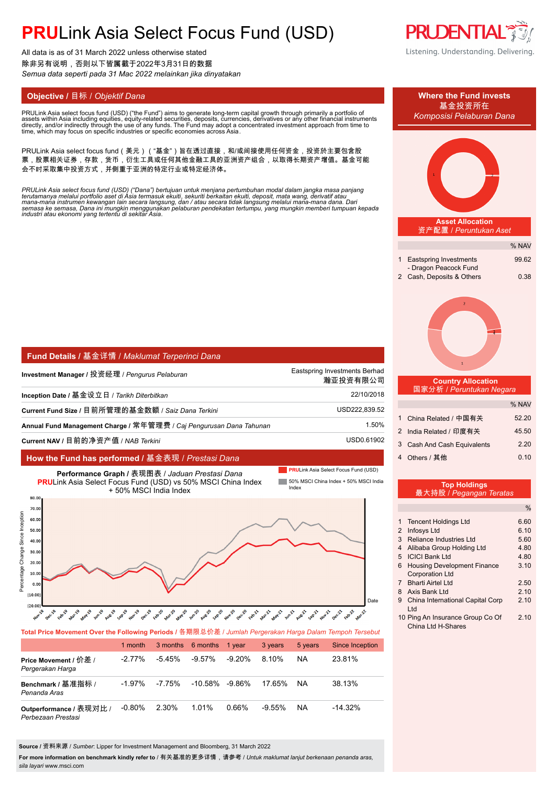All data is as of 31 March 2022 unless otherwise stated 除非另有说明,否则以下皆属截于2022年3月31日的数据 *Semua data seperti pada 31 Mac 2022 melainkan jika dinyatakan*

PRULink Asia select focus fund (USD) ("the Fund") aims to generate long-term capital growth through primarily a portfolio of<br>assets within Asia including equities, equity-related securities, deposits, currencies, derivativ assets within Asia including equities, equity-related securities, deposits, currencies, derivatives or any other financial instruments<br>directly, and/or indirectly through the use of any funds. The Fund may adopt a concentr

PRULink Asia select focus fund(美元)("基金")旨在透过直接,和/或间接使用任何资金,投资於主要包含股 票,股票相关证券,存款,货币,衍生工具或任何其他金融工具的亚洲资产组合,以取得长期资产增值。基金可能 会不时采取集中投资方式,并侧重于亚洲的特定行业或特定经济体。

PRULink Asia select focus fund (USD) ("Dana") bertujuan untuk menjana pertumbuhan modal dalam jangka masa panjang<br>terutamanya melalui portfolio aset di Asia termasuk ekuiti, sekuriti berkaitan ekuiti, deposit, mata wang, d

| Fund Details / 基金详情 / Maklumat Terperinci Dana                       |                                           |
|----------------------------------------------------------------------|-------------------------------------------|
| Investment Manager / 投资经理 / <i>Pengurus Pelaburan</i>                | Eastspring Investments Berhad<br>瀚亚投资有限公司 |
| Inception Date / 基金设立日 / <i>Tarikh Diterbitkan</i>                   | 22/10/2018                                |
| Current Fund Size / 目前所管理的基金数额 / Saiz Dana Terkini .                 | USD222.839.52                             |
| Annual Fund Management Charge / 常年管理费 / Caj Pengurusan Dana Tahunan_ | 1.50%                                     |
| Current NAV / 目前的净资产值 / NAB Terkini                                  | USD0.61902                                |

### **How the Fund has performed /** 基金表现 / *Prestasi Dana*



### **Total Price Movement Over the Following Periods /** 各期限总价差 / *Jumlah Pergerakan Harga Dalam Tempoh Tersebut*

|                                               | 1 month   |        | 3 months 6 months  | 1 vear    | 3 years   | 5 years   | <b>Since Inception</b> |
|-----------------------------------------------|-----------|--------|--------------------|-----------|-----------|-----------|------------------------|
| Price Movement / 价差 /<br>Pergerakan Harga     | $-2.77\%$ | -5 45% | $-9.57\%$          | $-9.20\%$ | 8.10%     | <b>NA</b> | 23.81%                 |
| Benchmark / 基准指标 /<br>Penanda Aras            | $-1.97\%$ | -7.75% | $-10.58\% -9.86\%$ |           | 17.65%    | NA.       | 38.13%                 |
| Outperformance / 表现对比 /<br>Perbezaan Prestasi | $-0.80%$  | 2.30%  | 1.01%              | 0.66%     | $-9.55\%$ | <b>NA</b> | $-14.32%$              |

**Source /** 资料来源 / *Sumber*: Lipper for Investment Management and Bloomberg, 31 March 2022

**For more information on benchmark kindly refer to** / 有关基准的更多详情,请参考 / *Untuk maklumat lanjut berkenaan penanda aras, sila layari* www.msci.com

**PRUDENTIAL** Listening. Understanding. Delivering.



10 Ping An Insurance Group Co Of 2.10 China Ltd H-Shares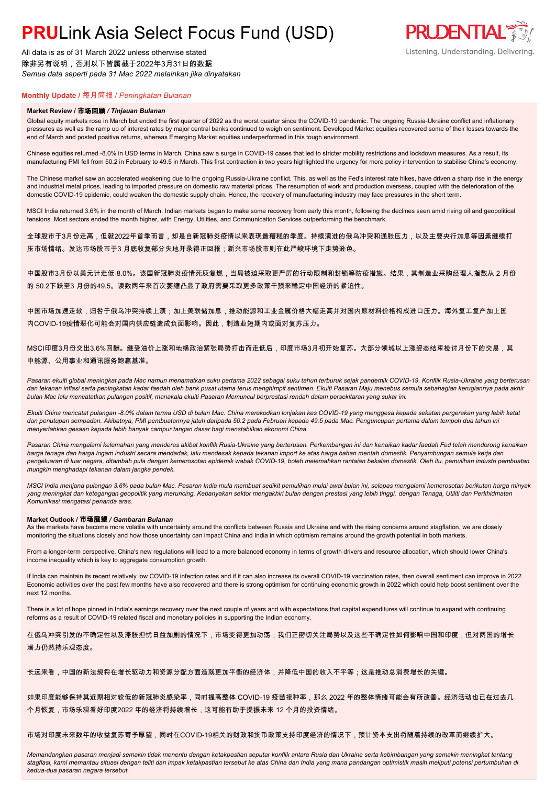All data is as of 31 March 2022 unless otherwise stated 除非另有说明,否则以下皆属截于2022年3月31日的数据 *Semua data seperti pada 31 Mac 2022 melainkan jika dinyatakan*

### **Monthly Update /** 每月简报 / *Peningkatan Bulanan*

#### **Market Review /** 市场回顾 */ Tinjauan Bulanan*

Global equity markets rose in March but ended the first quarter of 2022 as the worst quarter since the COVID-19 pandemic. The ongoing Russia-Ukraine conflict and inflationary pressures as well as the ramp up of interest rates by major central banks continued to weigh on sentiment. Developed Market equities recovered some of their losses towards the end of March and posted positive returns, whereas Emerging Market equities underperformed in this tough environment.

Chinese equities returned -8.0% in USD terms in March. China saw a surge in COVID-19 cases that led to stricter mobility restrictions and lockdown measures. As a result, its manufacturing PMI fell from 50.2 in February to 49.5 in March. This first contraction in two years highlighted the urgency for more policy intervention to stabilise China's economy.

The Chinese market saw an accelerated weakening due to the ongoing Russia-Ukraine conflict. This, as well as the Fed's interest rate hikes, have driven a sharp rise in the energy and industrial metal prices, leading to imported pressure on domestic raw material prices. The resumption of work and production overseas, coupled with the deterioration of the domestic COVID-19 epidemic, could weaken the domestic supply chain. Hence, the recovery of manufacturing industry may face pressures in the short term.

MSCI India returned 3.6% in the month of March. Indian markets began to make some recovery from early this month, following the declines seen amid rising oil and geopolitical tensions. Most sectors ended the month higher, with Energy, Utilities, and Communication Services outperforming the benchmark.

全球股市于3月份走高,但就2022年首季而言,却是自新冠肺炎疫情以来表现最糟糕的季度。持续演进的俄乌冲突和通胀压力,以及主要央行加息等因素继续打 压市场情绪。发达市场股市于3 月底收复部分失地并录得正回报;新兴市场股市则在此严峻环境下走势逊色。

中国股市3月份以美元计走低-8.0%。该国新冠肺炎疫情死灰复燃,当局被迫采取更严厉的行动限制和封锁等防疫措施。结果,其制造业采购经理人指数从 2 月份 的 50.2下跌至3 月份的49.5。读数两年来首次萎缩凸显了政府需要采取更多政策干预来稳定中国经济的紧迫性。

中国市场加速走软,归咎于俄乌冲突持续上演;加上美联储加息,推动能源和工业金属价格大幅走高并对国内原材料价格构成进口压力。海外复工复产加上国 内COVID-19疫情恶化可能会对国内供应链造成负面影响。因此,制造业短期内或面对复苏压力。

MSCI印度3月份交出3.6%回酬。继受油价上涨和地缘政治紧张局势打击而走低后,印度市场3月初开始复苏。大部分领域以上涨姿态结束检讨月份下的交易,其 中能源、公用事业和通讯服务跑赢基准。

*Pasaran ekuiti global meningkat pada Mac namun menamatkan suku pertama 2022 sebagai suku tahun terburuk sejak pandemik COVID-19. Konflik Rusia-Ukraine yang berterusan dan tekanan inflasi serta peningkatan kadar faedah oleh bank pusat utama terus menghimpit sentimen. Ekuiti Pasaran Maju menebus semula sebahagian kerugiannya pada akhir bulan Mac lalu mencatatkan pulangan positif, manakala ekuiti Pasaran Memuncul berprestasi rendah dalam persekitaran yang sukar ini.*

*Ekuiti China mencatat pulangan -8.0% dalam terma USD di bulan Mac. China merekodkan lonjakan kes COVID-19 yang menggesa kepada sekatan pergerakan yang lebih ketat dan penutupan sempadan. Akibatnya, PMI pembuatannya jatuh daripada 50.2 pada Februari kepada 49.5 pada Mac. Penguncupan pertama dalam tempoh dua tahun ini menyerlahkan gesaan kepada lebih banyak campur tangan dasar bagi menstabilkan ekonomi China.*

*Pasaran China mengalami kelemahan yang menderas akibat konflik Rusia-Ukraine yang berterusan. Perkembangan ini dan kenaikan kadar faedah Fed telah mendorong kenaikan harga tenaga dan harga logam industri secara mendadak, lalu mendesak kepada tekanan import ke atas harga bahan mentah domestik. Penyambungan semula kerja dan pengeluaran di luar negara, ditambah pula dengan kemerosotan epidemik wabak COVID-19, boleh melemahkan rantaian bekalan domestik. Oleh itu, pemulihan industri pembuatan mungkin menghadapi tekanan dalam jangka pendek.*

*MSCI India menjana pulangan 3.6% pada bulan Mac. Pasaran India mula membuat sedikit pemulihan mulai awal bulan ini, selepas mengalami kemerosotan berikutan harga minyak yang meningkat dan ketegangan geopolitik yang meruncing. Kebanyakan sektor mengakhiri bulan dengan prestasi yang lebih tinggi, dengan Tenaga, Utiliti dan Perkhidmatan Komunikasi mengatasi penanda aras.*

#### **Market Outlook /** 市场展望 */ Gambaran Bulanan*

As the markets have become more volatile with uncertainty around the conflicts between Russia and Ukraine and with the rising concerns around stagflation, we are closely monitoring the situations closely and how those uncertainty can impact China and India in which optimism remains around the growth potential in both markets.

From a longer-term perspective, China's new regulations will lead to a more balanced economy in terms of growth drivers and resource allocation, which should lower China's income inequality which is key to aggregate consumption growth.

If India can maintain its recent relatively low COVID-19 infection rates and if it can also increase its overall COVID-19 vaccination rates, then overall sentiment can improve in 2022. Economic activities over the past few months have also recovered and there is strong optimism for continuing economic growth in 2022 which could help boost sentiment over the next 12 months.

There is a lot of hope pinned in India's earnings recovery over the next couple of years and with expectations that capital expenditures will continue to expand with continuing reforms as a result of COVID-19 related fiscal and monetary policies in supporting the Indian economy.

在俄乌冲突引发的不确定性以及滞胀担忧日益加剧的情况下,市场变得更加动荡;我们正密切关注局势以及这些不确定性如何影响中国和印度,但对两国的增长 潜力仍然持乐观态度。

长远来看,中国的新法规将在增长驱动力和资源分配方面造就更加平衡的经济体,并降低中国的收入不平等;这是推动总消费增长的关键。

如果印度能够保持其近期相对较低的新冠肺炎感染率,同时提高整体 COVID-19 疫苗接种率,那么 2022 年的整体情绪可能会有所改善。经济活动也已在过去几 个月恢复,市场乐观看好印度2022 年的经济将持续增长,这可能有助于提振未来 12 个月的投资情绪。

市场对印度未来数年的收益复苏寄予厚望,同时在COVID-19相关的财政和货币政策支持印度经济的情况下,预计资本支出将随着持续的改革而继续扩大。

*Memandangkan pasaran menjadi semakin tidak menentu dengan ketakpastian seputar konflik antara Rusia dan Ukraine serta kebimbangan yang semakin meningkat tentang stagflasi, kami memantau situasi dengan teliti dan impak ketakpastian tersebut ke atas China dan India yang mana pandangan optimistik masih meliputi potensi pertumbuhan di kedua-dua pasaran negara tersebut.*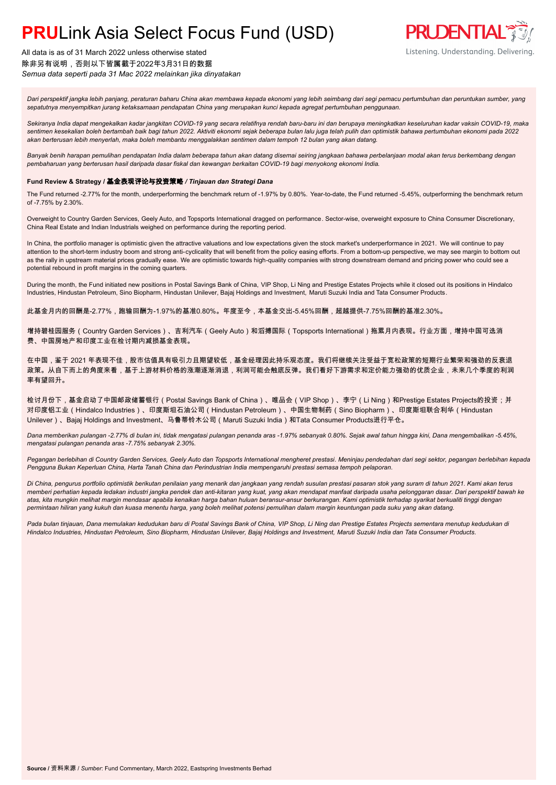All data is as of 31 March 2022 unless otherwise stated 除非另有说明,否则以下皆属截于2022年3月31日的数据 *Semua data seperti pada 31 Mac 2022 melainkan jika dinyatakan*



*Dari perspektif jangka lebih panjang, peraturan baharu China akan membawa kepada ekonomi yang lebih seimbang dari segi pemacu pertumbuhan dan peruntukan sumber, yang sepatutnya menyempitkan jurang ketaksamaan pendapatan China yang merupakan kunci kepada agregat pertumbuhan penggunaan.*

*Sekiranya India dapat mengekalkan kadar jangkitan COVID-19 yang secara relatifnya rendah baru-baru ini dan berupaya meningkatkan keseluruhan kadar vaksin COVID-19, maka sentimen kesekalian boleh bertambah baik bagi tahun 2022. Aktiviti ekonomi sejak beberapa bulan lalu juga telah pulih dan optimistik bahawa pertumbuhan ekonomi pada 2022 akan berterusan lebih menyerlah, maka boleh membantu menggalakkan sentimen dalam tempoh 12 bulan yang akan datang.*

*Banyak benih harapan pemulihan pendapatan India dalam beberapa tahun akan datang disemai seiring jangkaan bahawa perbelanjaan modal akan terus berkembang dengan pembaharuan yang berterusan hasil daripada dasar fiskal dan kewangan berkaitan COVID-19 bagi menyokong ekonomi India.*

#### **Fund Review & Strategy /** 基金表现评论与投资策略 */ Tinjauan dan Strategi Dana*

The Fund returned -2.77% for the month, underperforming the benchmark return of -1.97% by 0.80%. Year-to-date, the Fund returned -5.45%, outperforming the benchmark return of -7.75% by 2.30%.

Overweight to Country Garden Services, Geely Auto, and Topsports International dragged on performance. Sector-wise, overweight exposure to China Consumer Discretionary, China Real Estate and Indian Industrials weighed on performance during the reporting period.

In China, the portfolio manager is optimistic given the attractive valuations and low expectations given the stock market's underperformance in 2021. We will continue to pay attention to the short-term industry boom and strong anti-cyclicality that will benefit from the policy easing efforts. From a bottom-up perspective, we may see margin to bottom out as the rally in upstream material prices gradually ease. We are optimistic towards high-quality companies with strong downstream demand and pricing power who could see a potential rebound in profit margins in the coming quarters.

During the month, the Fund initiated new positions in Postal Savings Bank of China, VIP Shop, Li Ning and Prestige Estates Projects while it closed out its positions in Hindalco Industries, Hindustan Petroleum, Sino Biopharm, Hindustan Unilever, Bajaj Holdings and Investment, Maruti Suzuki India and Tata Consumer Products.

此基金月内的回酬是-2.77%,跑输回酬为-1.97%的基准0.80%。年度至今,本基金交出-5.45%回酬,超越提供-7.75%回酬的基准2.30%。

增持碧桂园服务(Country Garden Services)、吉利汽车(Geely Auto)和滔搏国际(Topsports International)拖累月内表现。行业方面,增持中国可选消 费、中国房地产和印度工业在检讨期内减损基金表现。

在中国,鉴于 2021 年表现不佳,股市估值具有吸引力且期望较低,基金经理因此持乐观态度。我们将继续关注受益于宽松政策的短期行业繁荣和强劲的反衰退 政策。从自下而上的角度来看,基于上游材料价格的涨潮逐渐消退,利润可能会触底反弹。我们看好下游需求和定价能力强劲的优质企业,未来几个季度的利润 率有望回升。

检讨月份下,基金启动了中国邮政储蓄银行(Postal Savings Bank of China)、唯品会(VIP Shop)、李宁(Li Ning)和Prestige Estates Projects的投资;并 对印度铝工业(Hindalco Industries)、印度斯坦石油公司(Hindustan Petroleum)、中国生物制药(Sino Biopharm)、印度斯坦联合利华(Hindustan Unilever)、Bajaj Holdings and Investment、马鲁蒂铃木公司(Maruti Suzuki India)和Tata Consumer Products进行平仓。

*Dana memberikan pulangan -2.77% di bulan ini, tidak mengatasi pulangan penanda aras -1.97% sebanyak 0.80%. Sejak awal tahun hingga kini, Dana mengembalikan -5.45%, mengatasi pulangan penanda aras -7.75% sebanyak 2.30%.*

*Pegangan berlebihan di Country Garden Services, Geely Auto dan Topsports International mengheret prestasi. Meninjau pendedahan dari segi sektor, pegangan berlebihan kepada Pengguna Bukan Keperluan China, Harta Tanah China dan Perindustrian India mempengaruhi prestasi semasa tempoh pelaporan.*

*Di China, pengurus portfolio optimistik berikutan penilaian yang menarik dan jangkaan yang rendah susulan prestasi pasaran stok yang suram di tahun 2021. Kami akan terus memberi perhatian kepada ledakan industri jangka pendek dan anti-kitaran yang kuat, yang akan mendapat manfaat daripada usaha pelonggaran dasar. Dari perspektif bawah ke atas, kita mungkin melihat margin mendasar apabila kenaikan harga bahan huluan beransur-ansur berkurangan. Kami optimistik terhadap syarikat berkualiti tinggi dengan permintaan hiliran yang kukuh dan kuasa menentu harga, yang boleh melihat potensi pemulihan dalam margin keuntungan pada suku yang akan datang.*

*Pada bulan tinjauan, Dana memulakan kedudukan baru di Postal Savings Bank of China, VIP Shop, Li Ning dan Prestige Estates Projects sementara menutup kedudukan di Hindalco Industries, Hindustan Petroleum, Sino Biopharm, Hindustan Unilever, Bajaj Holdings and Investment, Maruti Suzuki India dan Tata Consumer Products.*